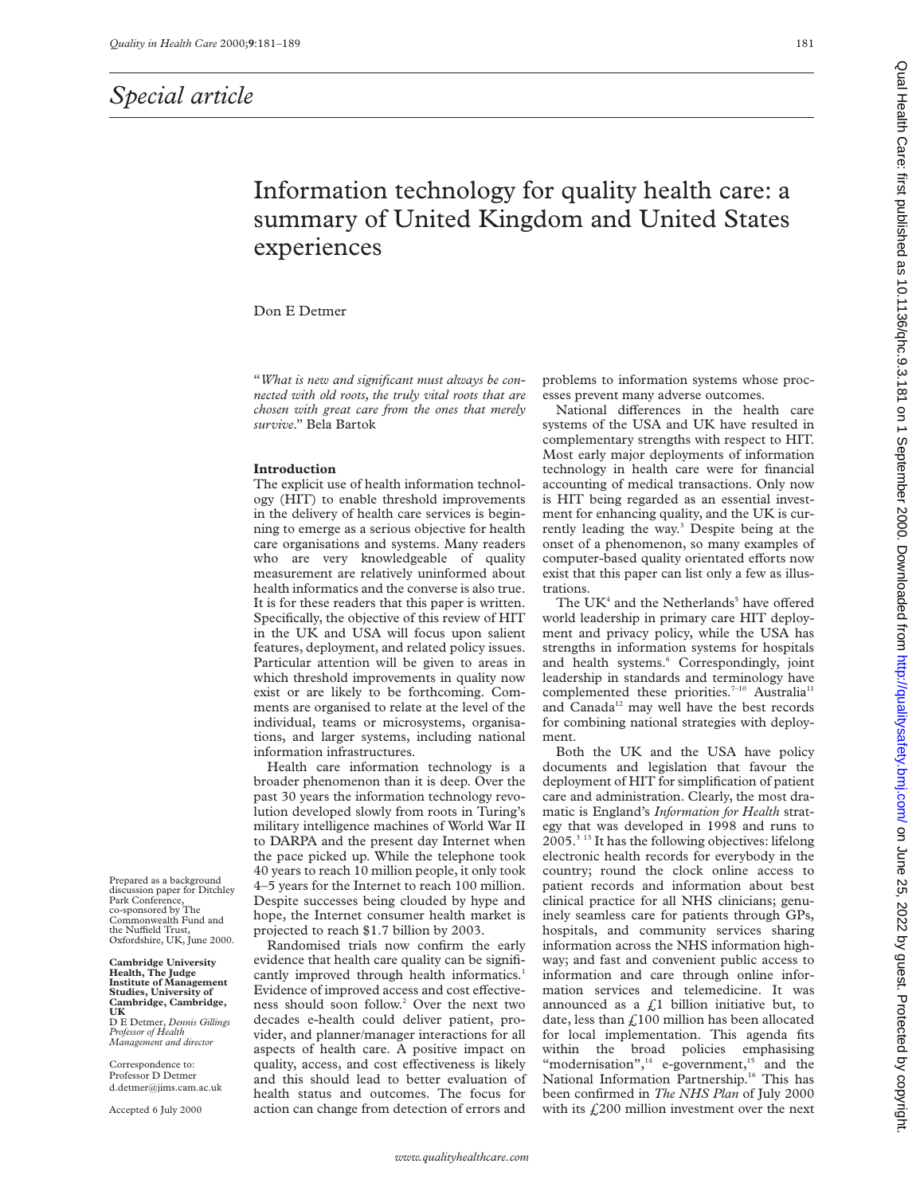# Information technology for quality health care: a summary of United Kingdom and United States experiences

Don E Detmer

"*What is new and significant must always be connected with old roots, the truly vital roots that are chosen with great care from the ones that merely survive*." Bela Bartok

#### **Introduction**

The explicit use of health information technology (HIT) to enable threshold improvements in the delivery of health care services is beginning to emerge as a serious objective for health care organisations and systems. Many readers who are very knowledgeable of quality measurement are relatively uninformed about health informatics and the converse is also true. It is for these readers that this paper is written. Specifically, the objective of this review of HIT in the UK and USA will focus upon salient features, deployment, and related policy issues. Particular attention will be given to areas in which threshold improvements in quality now exist or are likely to be forthcoming. Comments are organised to relate at the level of the individual, teams or microsystems, organisations, and larger systems, including national information infrastructures.

Health care information technology is a broader phenomenon than it is deep. Over the past 30 years the information technology revolution developed slowly from roots in Turing's military intelligence machines of World War II to DARPA and the present day Internet when the pace picked up. While the telephone took 40 years to reach 10 million people, it only took 4–5 years for the Internet to reach 100 million. Despite successes being clouded by hype and hope, the Internet consumer health market is projected to reach \$1.7 billion by 2003.

Randomised trials now confirm the early evidence that health care quality can be significantly improved through health informatics.<sup>1</sup> Evidence of improved access and cost effectiveness should soon follow.2 Over the next two decades e-health could deliver patient, provider, and planner/manager interactions for all aspects of health care. A positive impact on quality, access, and cost effectiveness is likely and this should lead to better evaluation of health status and outcomes. The focus for action can change from detection of errors and

problems to information systems whose processes prevent many adverse outcomes.

National differences in the health care systems of the USA and UK have resulted in complementary strengths with respect to HIT. Most early major deployments of information technology in health care were for financial accounting of medical transactions. Only now is HIT being regarded as an essential investment for enhancing quality, and the UK is currently leading the way.<sup>3</sup> Despite being at the onset of a phenomenon, so many examples of computer-based quality orientated efforts now exist that this paper can list only a few as illustrations.

The  $UK<sup>4</sup>$  and the Netherlands<sup>5</sup> have offered world leadership in primary care HIT deployment and privacy policy, while the USA has strengths in information systems for hospitals and health systems.<sup>6</sup> Correspondingly, joint leadership in standards and terminology have complemented these priorities.<sup>7-10</sup> Australia<sup>11</sup> and Canada<sup>12</sup> may well have the best records for combining national strategies with deployment.

Both the UK and the USA have policy documents and legislation that favour the deployment of HIT for simplification of patient care and administration. Clearly, the most dramatic is England's *Information for Health* strategy that was developed in 1998 and runs to  $2005.^3$  <sup>13</sup> It has the following objectives: lifelong electronic health records for everybody in the country; round the clock online access to patient records and information about best clinical practice for all NHS clinicians; genuinely seamless care for patients through GPs, hospitals, and community services sharing information across the NHS information highway; and fast and convenient public access to information and care through online information services and telemedicine. It was announced as a  $f_{\text{L}}$ 1 billion initiative but, to date, less than  $\mathcal{L}100$  million has been allocated for local implementation. This agenda fits within the broad policies emphasising "modernisation", $14$  e-government, $15$  and the National Information Partnership.<sup>16</sup> This has been confirmed in *The NHS Plan* of July 2000 with its  $\text{\textsterling}200$  million investment over the next

Prepared as a background discussion paper for Ditchley Park Conference, co-sponsored by The Commonwealth Fund and the Nuffield Trust. Oxfordshire, UK, June 2000.

**Cambridge University Health, The Judge Institute of Management Studies, University of Cambridge, Cambridge, UK** D E Detmer, *Dennis Gillings*

*Professor of Health Management and director*

Correspondence to: Professor D Detmer d.detmer@jims.cam.ac.uk

Accepted 6 July 2000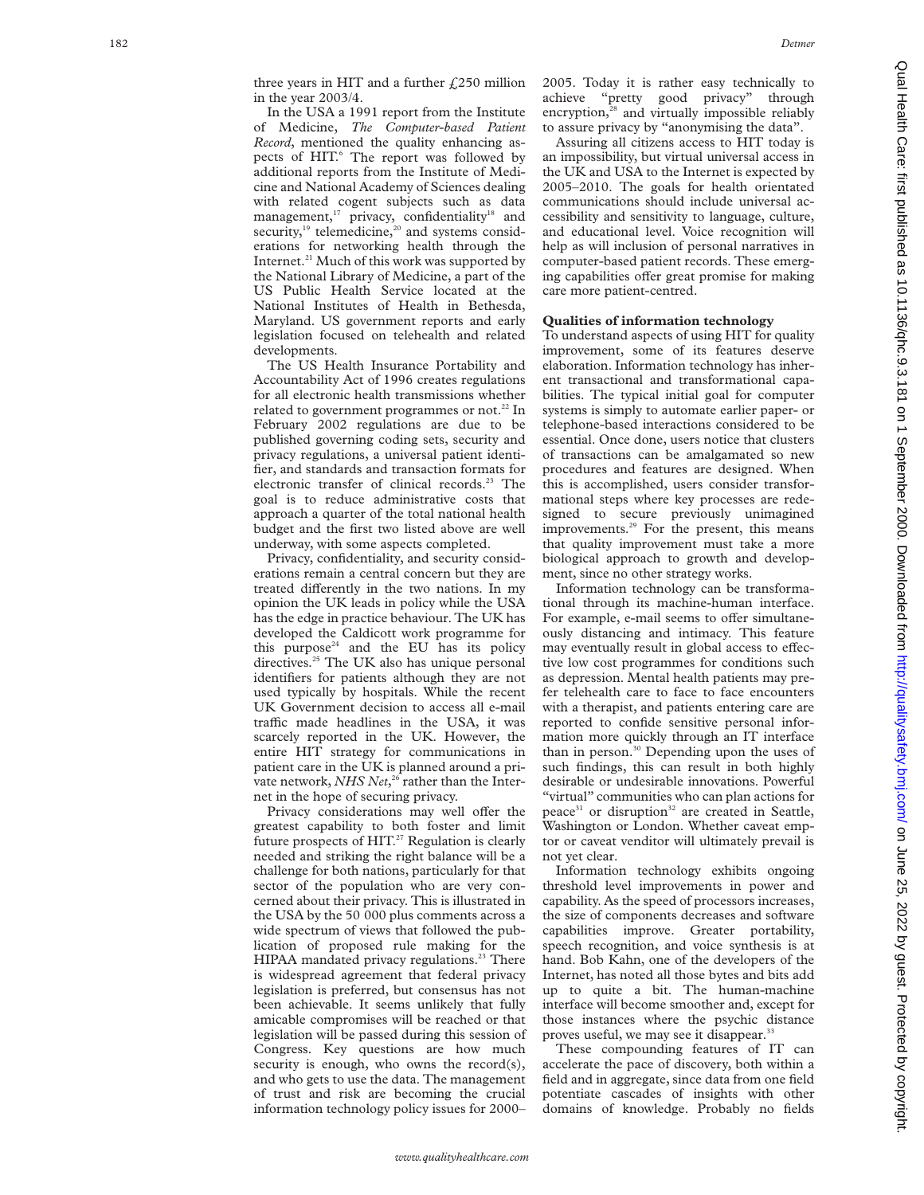three years in HIT and a further  $\text{\textsterling}250$  million in the year 2003/4.

In the USA a 1991 report from the Institute of Medicine, *The Computer-based Patient Record*, mentioned the quality enhancing aspects of HIT.<sup>6</sup> The report was followed by additional reports from the Institute of Medicine and National Academy of Sciences dealing with related cogent subjects such as data management,<sup>17</sup> privacy, confidentiality<sup>18</sup> and security,<sup>19</sup> telemedicine,<sup>20</sup> and systems considerations for networking health through the Internet.<sup>21</sup> Much of this work was supported by the National Library of Medicine, a part of the US Public Health Service located at the National Institutes of Health in Bethesda, Maryland. US government reports and early legislation focused on telehealth and related developments.

The US Health Insurance Portability and Accountability Act of 1996 creates regulations for all electronic health transmissions whether related to government programmes or not.<sup>22</sup> In February 2002 regulations are due to be published governing coding sets, security and privacy regulations, a universal patient identifier, and standards and transaction formats for electronic transfer of clinical records.<sup>23</sup> The goal is to reduce administrative costs that approach a quarter of the total national health budget and the first two listed above are well underway, with some aspects completed.

Privacy, confidentiality, and security considerations remain a central concern but they are treated differently in the two nations. In my opinion the UK leads in policy while the USA has the edge in practice behaviour. The UK has developed the Caldicott work programme for this purpose<sup>24</sup> and the EU has its policy directives.<sup>25</sup> The UK also has unique personal identifiers for patients although they are not used typically by hospitals. While the recent UK Government decision to access all e-mail traffic made headlines in the USA, it was scarcely reported in the UK. However, the entire HIT strategy for communications in patient care in the UK is planned around a private network, NHS Net,<sup>26</sup> rather than the Internet in the hope of securing privacy.

Privacy considerations may well offer the greatest capability to both foster and limit future prospects of  $HIT<sub>1</sub><sup>27</sup>$  Regulation is clearly needed and striking the right balance will be a challenge for both nations, particularly for that sector of the population who are very concerned about their privacy. This is illustrated in the USA by the 50 000 plus comments across a wide spectrum of views that followed the publication of proposed rule making for the HIPAA mandated privacy regulations.<sup>23</sup> There is widespread agreement that federal privacy legislation is preferred, but consensus has not been achievable. It seems unlikely that fully amicable compromises will be reached or that legislation will be passed during this session of Congress. Key questions are how much security is enough, who owns the record(s), and who gets to use the data. The management of trust and risk are becoming the crucial information technology policy issues for 2000–

2005. Today it is rather easy technically to achieve "pretty good privacy" through encryption,<sup>28</sup> and virtually impossible reliably to assure privacy by "anonymising the data".

Assuring all citizens access to HIT today is an impossibility, but virtual universal access in the UK and USA to the Internet is expected by 2005–2010. The goals for health orientated communications should include universal accessibility and sensitivity to language, culture, and educational level. Voice recognition will help as will inclusion of personal narratives in computer-based patient records. These emerging capabilities offer great promise for making care more patient-centred.

## **Qualities of information technology**

To understand aspects of using HIT for quality improvement, some of its features deserve elaboration. Information technology has inherent transactional and transformational capabilities. The typical initial goal for computer systems is simply to automate earlier paper- or telephone-based interactions considered to be essential. Once done, users notice that clusters of transactions can be amalgamated so new procedures and features are designed. When this is accomplished, users consider transformational steps where key processes are redesigned to secure previously unimagined improvements.<sup>29</sup> For the present, this means that quality improvement must take a more biological approach to growth and development, since no other strategy works.

Information technology can be transformational through its machine-human interface. For example, e-mail seems to offer simultaneously distancing and intimacy. This feature may eventually result in global access to effective low cost programmes for conditions such as depression. Mental health patients may prefer telehealth care to face to face encounters with a therapist, and patients entering care are reported to confide sensitive personal information more quickly through an IT interface than in person.<sup>30</sup> Depending upon the uses of such findings, this can result in both highly desirable or undesirable innovations. Powerful "virtual" communities who can plan actions for peace<sup>31</sup> or disruption<sup>32</sup> are created in Seattle, Washington or London. Whether caveat emptor or caveat venditor will ultimately prevail is not yet clear.

Information technology exhibits ongoing threshold level improvements in power and capability. As the speed of processors increases, the size of components decreases and software capabilities improve. Greater portability, speech recognition, and voice synthesis is at hand. Bob Kahn, one of the developers of the Internet, has noted all those bytes and bits add up to quite a bit. The human-machine interface will become smoother and, except for those instances where the psychic distance proves useful, we may see it disappear.<sup>33</sup>

These compounding features of IT can accelerate the pace of discovery, both within a field and in aggregate, since data from one field potentiate cascades of insights with other domains of knowledge. Probably no fields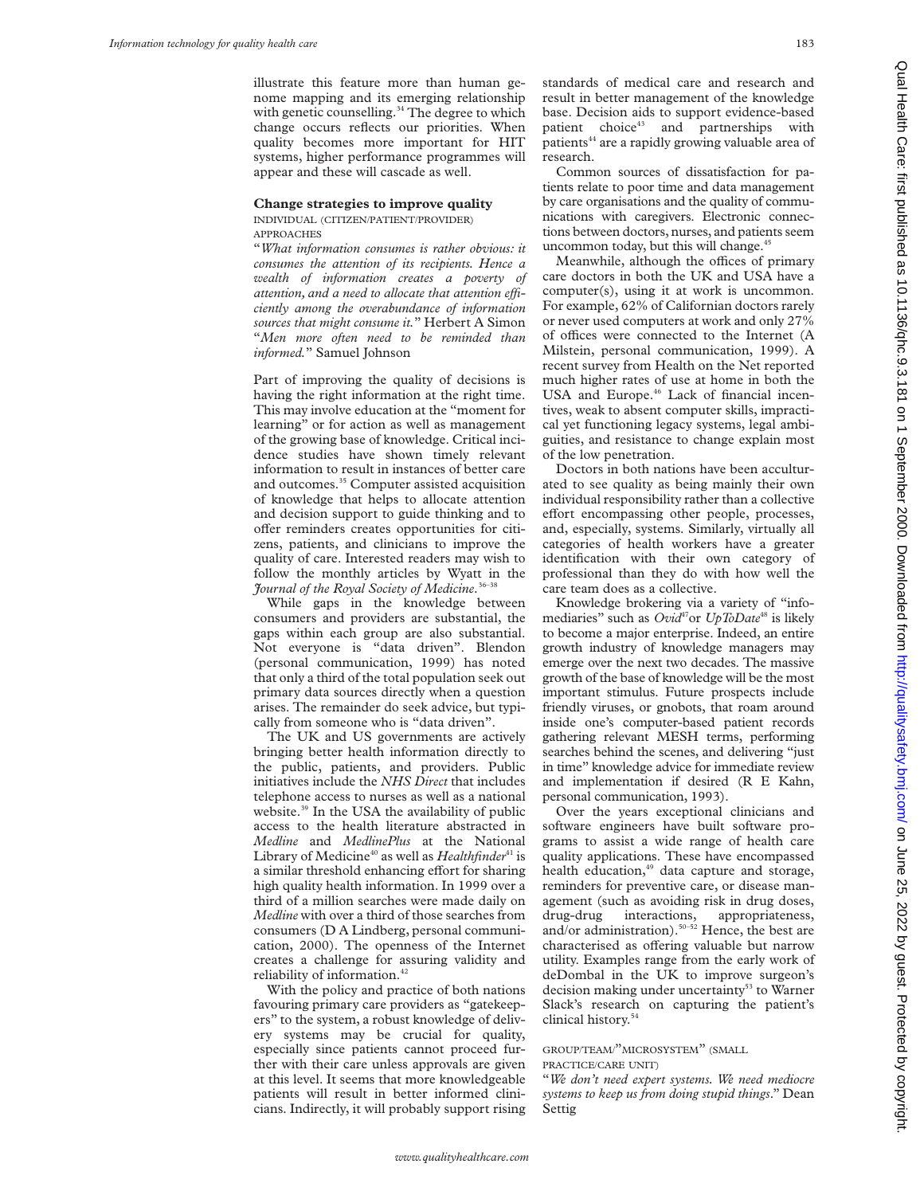illustrate this feature more than human genome mapping and its emerging relationship with genetic counselling.<sup>34</sup> The degree to which change occurs reflects our priorities. When quality becomes more important for HIT systems, higher performance programmes will appear and these will cascade as well.

### **Change strategies to improve quality** INDIVIDUAL (CITIZEN/PATIENT/PROVIDER)

APPROACHES

"*What information consumes is rather obvious: it consumes the attention of its recipients. Hence a wealth of information creates a poverty of attention, and a need to allocate that attention efficiently among the overabundance of information sources that might consume it.*" Herbert A Simon "*Men more often need to be reminded than informed.*" Samuel Johnson

Part of improving the quality of decisions is having the right information at the right time. This may involve education at the "moment for learning" or for action as well as management of the growing base of knowledge. Critical incidence studies have shown timely relevant information to result in instances of better care and outcomes.<sup>35</sup> Computer assisted acquisition of knowledge that helps to allocate attention and decision support to guide thinking and to offer reminders creates opportunities for citizens, patients, and clinicians to improve the quality of care. Interested readers may wish to follow the monthly articles by Wyatt in the *Journal of the Royal Society of Medicine.*<sup>36–</sup>

While gaps in the knowledge between consumers and providers are substantial, the gaps within each group are also substantial. Not everyone is "data driven". Blendon (personal communication, 1999) has noted that only a third of the total population seek out primary data sources directly when a question arises. The remainder do seek advice, but typically from someone who is "data driven".

The UK and US governments are actively bringing better health information directly to the public, patients, and providers. Public initiatives include the *NHS Direct* that includes telephone access to nurses as well as a national website.<sup>39</sup> In the USA the availability of public access to the health literature abstracted in *Medline* and *MedlinePlus* at the National Library of Medicine<sup>40</sup> as well as *Healthfinder*<sup>41</sup> is a similar threshold enhancing effort for sharing high quality health information. In 1999 over a third of a million searches were made daily on *Medline* with over a third of those searches from consumers (D A Lindberg, personal communication, 2000). The openness of the Internet creates a challenge for assuring validity and reliability of information.<sup>42</sup>

With the policy and practice of both nations favouring primary care providers as "gatekeepers" to the system, a robust knowledge of delivery systems may be crucial for quality, especially since patients cannot proceed further with their care unless approvals are given at this level. It seems that more knowledgeable patients will result in better informed clinicians. Indirectly, it will probably support rising

standards of medical care and research and result in better management of the knowledge base. Decision aids to support evidence-based patient choice<sup>43</sup> and partnerships with patients<sup>44</sup> are a rapidly growing valuable area of research.

Common sources of dissatisfaction for patients relate to poor time and data management by care organisations and the quality of communications with caregivers. Electronic connections between doctors, nurses, and patients seem uncommon today, but this will change.<sup>4</sup>

Meanwhile, although the offices of primary care doctors in both the UK and USA have a computer(s), using it at work is uncommon. For example, 62% of Californian doctors rarely or never used computers at work and only 27% of offices were connected to the Internet (A Milstein, personal communication, 1999). A recent survey from Health on the Net reported much higher rates of use at home in both the USA and Europe.<sup>46</sup> Lack of financial incentives, weak to absent computer skills, impractical yet functioning legacy systems, legal ambiguities, and resistance to change explain most of the low penetration.

Doctors in both nations have been acculturated to see quality as being mainly their own individual responsibility rather than a collective effort encompassing other people, processes, and, especially, systems. Similarly, virtually all categories of health workers have a greater identification with their own category of professional than they do with how well the care team does as a collective.

Knowledge brokering via a variety of "infomediaries" such as *Ovid*<sup>47</sup>or *UpToDate*<sup>48</sup> is likely to become a major enterprise. Indeed, an entire growth industry of knowledge managers may emerge over the next two decades. The massive growth of the base of knowledge will be the most important stimulus. Future prospects include friendly viruses, or gnobots, that roam around inside one's computer-based patient records gathering relevant MESH terms, performing searches behind the scenes, and delivering "just in time" knowledge advice for immediate review and implementation if desired (R E Kahn, personal communication, 1993).

Over the years exceptional clinicians and software engineers have built software programs to assist a wide range of health care quality applications. These have encompassed health education,<sup>49</sup> data capture and storage, reminders for preventive care, or disease management (such as avoiding risk in drug doses, drug-drug interactions, appropriateness, and/or administration).<sup>50–52</sup> Hence, the best are characterised as offering valuable but narrow utility. Examples range from the early work of deDombal in the UK to improve surgeon's decision making under uncertainty<sup>53</sup> to Warner Slack's research on capturing the patient's clinical history.<sup>54</sup>

GROUP/TEAM/"MICROSYSTEM" (SMALL PRACTICE/CARE UNIT)

"*We don't need expert systems. We need mediocre systems to keep us from doing stupid things*." Dean

Settig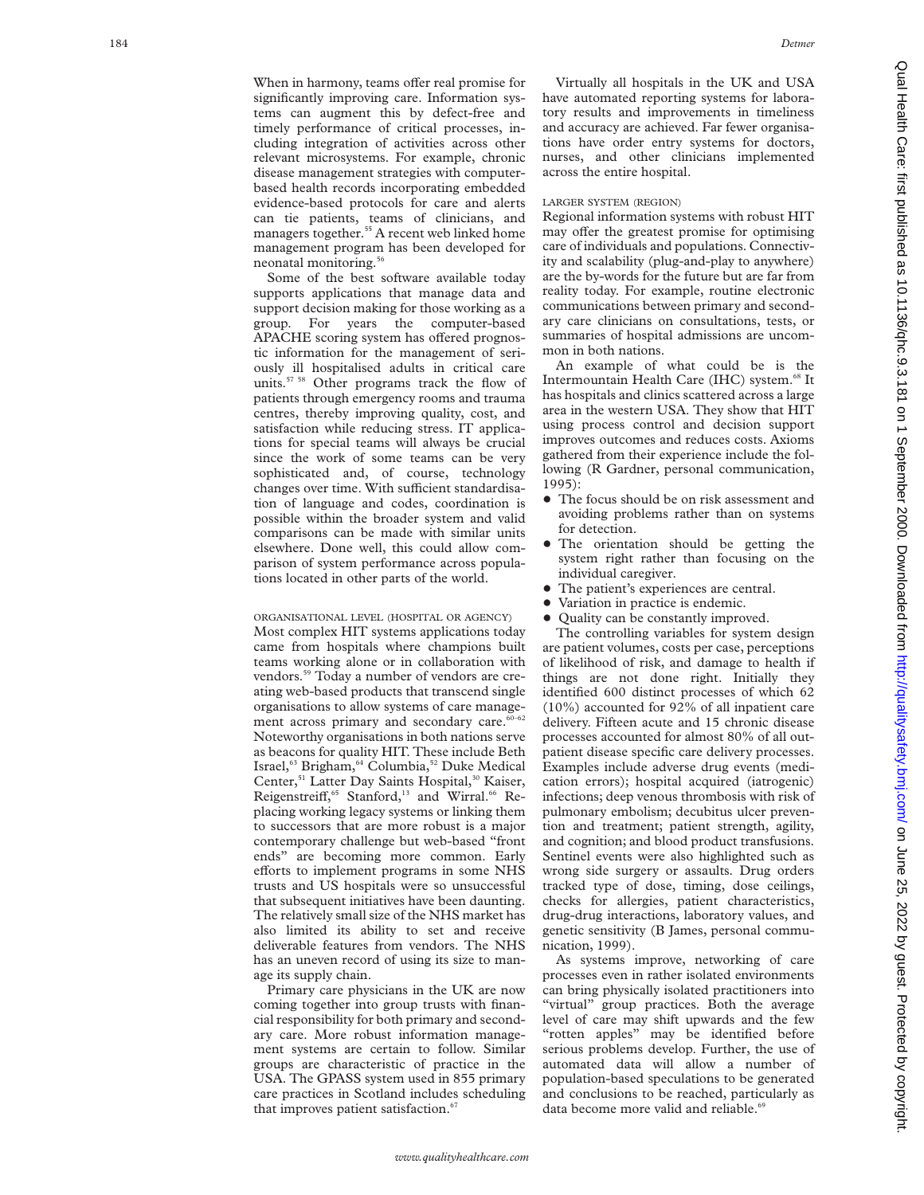When in harmony, teams offer real promise for significantly improving care. Information systems can augment this by defect-free and timely performance of critical processes, including integration of activities across other relevant microsystems. For example, chronic disease management strategies with computerbased health records incorporating embedded evidence-based protocols for care and alerts can tie patients, teams of clinicians, and managers together.<sup>55</sup> A recent web linked home management program has been developed for neonatal monitoring.<sup>5</sup>

Some of the best software available today supports applications that manage data and support decision making for those working as a group. For years the computer-based APACHE scoring system has offered prognostic information for the management of seriously ill hospitalised adults in critical care units.57 58 Other programs track the flow of patients through emergency rooms and trauma centres, thereby improving quality, cost, and satisfaction while reducing stress. IT applications for special teams will always be crucial since the work of some teams can be very sophisticated and, of course, technology changes over time. With sufficient standardisation of language and codes, coordination is possible within the broader system and valid comparisons can be made with similar units elsewhere. Done well, this could allow comparison of system performance across populations located in other parts of the world.

## ORGANISATIONAL LEVEL (HOSPITAL OR AGENCY ) Most complex HIT systems applications today came from hospitals where champions built teams working alone or in collaboration with vendors.59 Today a number of vendors are creating web-based products that transcend single organisations to allow systems of care management across primary and secondary care. $\frac{60-62}{3}$ Noteworthy organisations in both nations serve as beacons for quality HIT. These include Beth

Israel,<sup>63</sup> Brigham,<sup>64</sup> Columbia,<sup>52</sup> Duke Medical Center,<sup>51</sup> Latter Day Saints Hospital,<sup>30</sup> Kaiser, Reigenstreiff,<sup>65</sup> Stanford,<sup>13</sup> and Wirral.<sup>66</sup> Replacing working legacy systems or linking them to successors that are more robust is a major contemporary challenge but web-based "front ends" are becoming more common. Early efforts to implement programs in some NHS trusts and US hospitals were so unsuccessful that subsequent initiatives have been daunting. The relatively small size of the NHS market has also limited its ability to set and receive deliverable features from vendors. The NHS has an uneven record of using its size to manage its supply chain.

Primary care physicians in the UK are now coming together into group trusts with financial responsibility for both primary and secondary care. More robust information management systems are certain to follow. Similar groups are characteristic of practice in the USA. The GPASS system used in 855 primary care practices in Scotland includes scheduling that improves patient satisfaction.<sup>67</sup>

Virtually all hospitals in the UK and USA have automated reporting systems for laboratory results and improvements in timeliness and accuracy are achieved. Far fewer organisations have order entry systems for doctors, nurses, and other clinicians implemented across the entire hospital.

#### LARGER SYSTEM (REGION )

Regional information systems with robust HIT may offer the greatest promise for optimising care of individuals and populations. Connectivity and scalability (plug-and-play to anywhere) are the by-words for the future but are far from reality today. For example, routine electronic communications between primary and secondary care clinicians on consultations, tests, or summaries of hospital admissions are uncommon in both nations.

An example of what could be is the Intermountain Health Care (IHC) system.<sup>68</sup> It has hospitals and clinics scattered across a large area in the western USA. They show that HIT using process control and decision support improves outcomes and reduces costs. Axioms gathered from their experience include the following (R Gardner, personal communication, 1995):

- + The focus should be on risk assessment and avoiding problems rather than on systems for detection.
- The orientation should be getting the system right rather than focusing on the individual caregiver.
	- The patient's experiences are central.
- Variation in practice is endemic.
- Ouality can be constantly improved.

The controlling variables for system design are patient volumes, costs per case, perceptions of likelihood of risk, and damage to health if things are not done right. Initially they identified 600 distinct processes of which 62 (10%) accounted for 92% of all inpatient care delivery. Fifteen acute and 15 chronic disease processes accounted for almost 80% of all outpatient disease specific care delivery processes. Examples include adverse drug events (medication errors); hospital acquired (iatrogenic) infections; deep venous thrombosis with risk of pulmonary embolism; decubitus ulcer prevention and treatment; patient strength, agility, and cognition; and blood product transfusions. Sentinel events were also highlighted such as wrong side surgery or assaults. Drug orders tracked type of dose, timing, dose ceilings, checks for allergies, patient characteristics, drug-drug interactions, laboratory values, and genetic sensitivity (B James, personal communication, 1999).

As systems improve, networking of care processes even in rather isolated environments can bring physically isolated practitioners into "virtual" group practices. Both the average level of care may shift upwards and the few "rotten apples" may be identified before serious problems develop. Further, the use of automated data will allow a number of population-based speculations to be generated and conclusions to be reached, particularly as data become more valid and reliable.<sup>6</sup>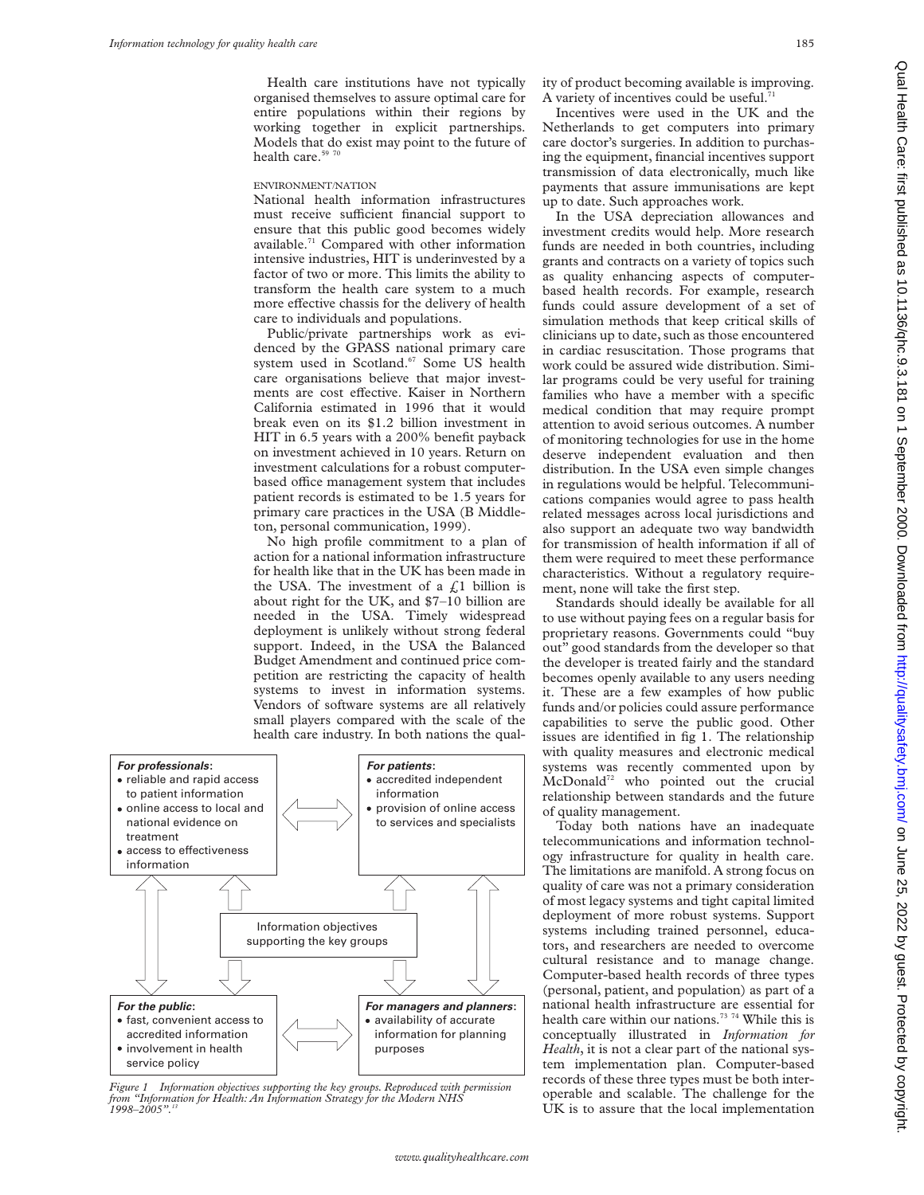Health care institutions have not typically organised themselves to assure optimal care for entire populations within their regions by working together in explicit partnerships. Models that do exist may point to the future of health care.<sup>59 7</sup>

ENVIRONMENT/NATION

National health information infrastructures must receive sufficient financial support to ensure that this public good becomes widely available.<sup>71</sup> Compared with other information intensive industries, HIT is underinvested by a factor of two or more. This limits the ability to transform the health care system to a much more effective chassis for the delivery of health care to individuals and populations.

Public/private partnerships work as evidenced by the GPASS national primary care system used in Scotland.<sup>67</sup> Some US health care organisations believe that major investments are cost effective. Kaiser in Northern California estimated in 1996 that it would break even on its \$1.2 billion investment in HIT in 6.5 years with a 200% benefit payback on investment achieved in 10 years. Return on investment calculations for a robust computerbased office management system that includes patient records is estimated to be 1.5 years for primary care practices in the USA (B Middleton, personal communication, 1999).

No high profile commitment to a plan of action for a national information infrastructure for health like that in the UK has been made in the USA. The investment of a  $f<sub>1</sub>1$  billion is about right for the UK, and \$7–10 billion are needed in the USA. Timely widespread deployment is unlikely without strong federal support. Indeed, in the USA the Balanced Budget Amendment and continued price competition are restricting the capacity of health systems to invest in information systems. Vendors of software systems are all relatively small players compared with the scale of the health care industry. In both nations the qual-



*Figure 1 Information objectives supporting the key groups. Reproduced with permission from "Information for Health: An Information Strategy for the Modern NHS 1998–2005".13*

ity of product becoming available is improving. A variety of incentives could be useful.<sup>7</sup>

Incentives were used in the UK and the Netherlands to get computers into primary care doctor's surgeries. In addition to purchasing the equipment, financial incentives support transmission of data electronically, much like payments that assure immunisations are kept up to date. Such approaches work.

In the USA depreciation allowances and investment credits would help. More research funds are needed in both countries, including grants and contracts on a variety of topics such as quality enhancing aspects of computerbased health records. For example, research funds could assure development of a set of simulation methods that keep critical skills of clinicians up to date, such as those encountered in cardiac resuscitation. Those programs that work could be assured wide distribution. Similar programs could be very useful for training families who have a member with a specific medical condition that may require prompt attention to avoid serious outcomes. A number of monitoring technologies for use in the home deserve independent evaluation and then distribution. In the USA even simple changes in regulations would be helpful. Telecommunications companies would agree to pass health related messages across local jurisdictions and also support an adequate two way bandwidth for transmission of health information if all of them were required to meet these performance characteristics. Without a regulatory requirement, none will take the first step.

Standards should ideally be available for all to use without paying fees on a regular basis for proprietary reasons. Governments could "buy out" good standards from the developer so that the developer is treated fairly and the standard becomes openly available to any users needing it. These are a few examples of how public funds and/or policies could assure performance capabilities to serve the public good. Other issues are identified in fig 1. The relationship with quality measures and electronic medical systems was recently commented upon by McDonald<sup>72</sup> who pointed out the crucial relationship between standards and the future of quality management.

Today both nations have an inadequate telecommunications and information technology infrastructure for quality in health care. The limitations are manifold. A strong focus on quality of care was not a primary consideration of most legacy systems and tight capital limited deployment of more robust systems. Support systems including trained personnel, educators, and researchers are needed to overcome cultural resistance and to manage change. Computer-based health records of three types (personal, patient, and population) as part of a national health infrastructure are essential for health care within our nations.<sup>73</sup> <sup>74</sup> While this is conceptually illustrated in *Information for Health*, it is not a clear part of the national system implementation plan. Computer-based records of these three types must be both interoperable and scalable. The challenge for the UK is to assure that the local implementation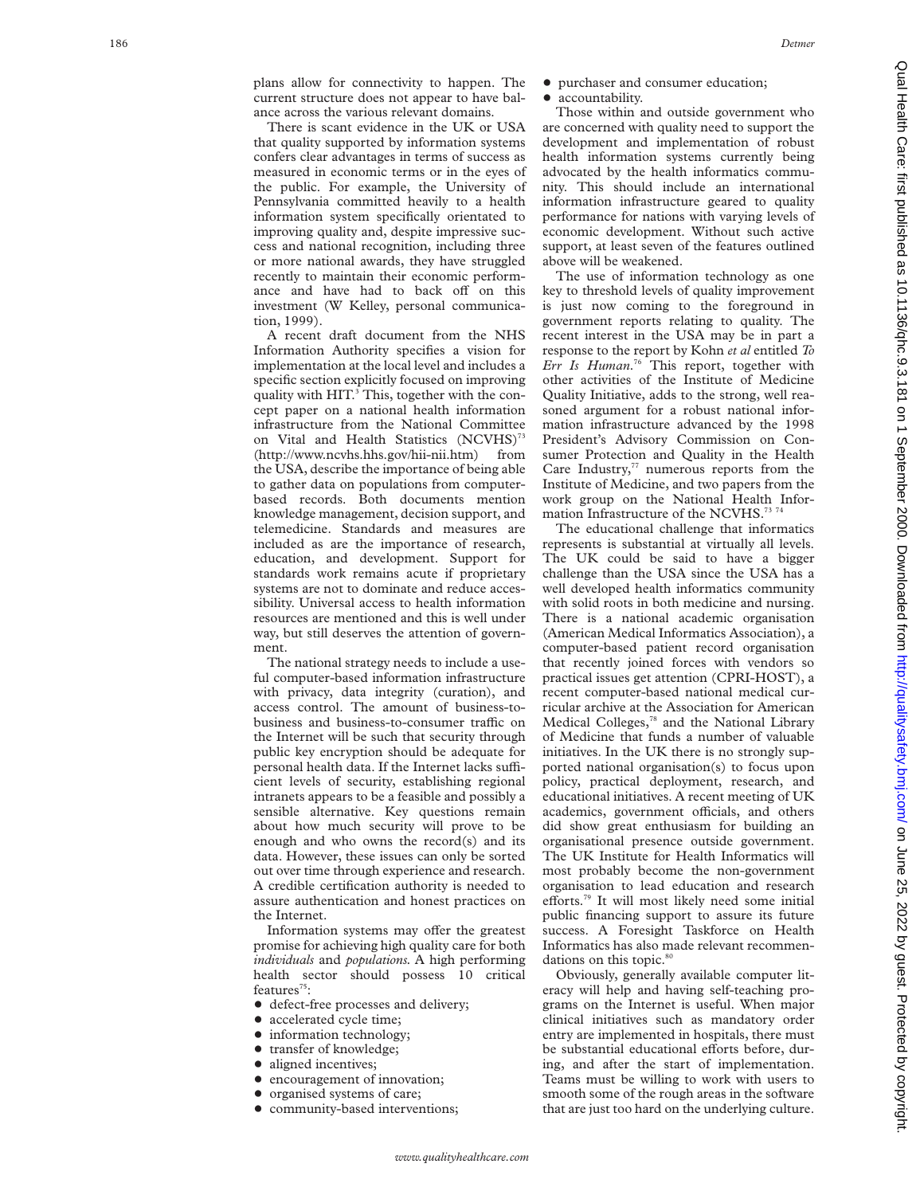plans allow for connectivity to happen. The current structure does not appear to have balance across the various relevant domains.

There is scant evidence in the UK or USA that quality supported by information systems confers clear advantages in terms of success as measured in economic terms or in the eyes of the public. For example, the University of Pennsylvania committed heavily to a health information system specifically orientated to improving quality and, despite impressive success and national recognition, including three or more national awards, they have struggled recently to maintain their economic performance and have had to back off on this investment (W Kelley, personal communication, 1999).

A recent draft document from the NHS Information Authority specifies a vision for implementation at the local level and includes a specific section explicitly focused on improving quality with HIT. <sup>3</sup> This, together with the concept paper on a national health information infrastructure from the National Committee on Vital and Health Statistics (NCVHS)<sup>73</sup> (http://www.ncvhs.hhs.gov/hii-nii.htm) from the USA, describe the importance of being able to gather data on populations from computerbased records. Both documents mention knowledge management, decision support, and telemedicine. Standards and measures are included as are the importance of research, education, and development. Support for standards work remains acute if proprietary systems are not to dominate and reduce accessibility. Universal access to health information resources are mentioned and this is well under way, but still deserves the attention of government.

The national strategy needs to include a useful computer-based information infrastructure with privacy, data integrity (curation), and access control. The amount of business-tobusiness and business-to-consumer traffic on the Internet will be such that security through public key encryption should be adequate for personal health data. If the Internet lacks sufficient levels of security, establishing regional intranets appears to be a feasible and possibly a sensible alternative. Key questions remain about how much security will prove to be enough and who owns the record(s) and its data. However, these issues can only be sorted out over time through experience and research. A credible certification authority is needed to assure authentication and honest practices on the Internet.

Information systems may offer the greatest promise for achieving high quality care for both *individuals* and *populations.* A high performing health sector should possess 10 critical features<sup>75</sup>:

- $\bullet$  defect-free processes and delivery;
- accelerated cycle time;
- information technology;
- transfer of knowledge;
- aligned incentives;
- encouragement of innovation;
- organised systems of care;
- $\bullet$  community-based interventions;
- purchaser and consumer education;
- accountability.

Those within and outside government who are concerned with quality need to support the development and implementation of robust health information systems currently being advocated by the health informatics community. This should include an international information infrastructure geared to quality performance for nations with varying levels of economic development. Without such active support, at least seven of the features outlined above will be weakened.

The use of information technology as one key to threshold levels of quality improvement is just now coming to the foreground in government reports relating to quality. The recent interest in the USA may be in part a response to the report by Kohn *et al* entitled *To Err Is Human* . <sup>76</sup> This report, together with other activities of the Institute of Medicine Quality Initiative, adds to the strong, well reasoned argument for a robust national information infrastructure advanced by the 1998 President's Advisory Commission on Consumer Protection and Quality in the Health Care Industry, $77$  numerous reports from the Institute of Medicine, and two papers from the work group on the National Health Information Infrastructure of the NCVHS.<sup>73 74</sup>

The educational challenge that informatics represents is substantial at virtually all levels. The UK could be said to have a bigger challenge than the USA since the USA has a well developed health informatics community with solid roots in both medicine and nursing. There is a national academic organisation (American Medical Informatics Association), a computer-based patient record organisation that recently joined forces with vendors so practical issues get attention (CPRI-HOST), a recent computer-based national medical curricular archive at the Association for American Medical Colleges,<sup>78</sup> and the National Library of Medicine that funds a number of valuable initiatives. In the UK there is no strongly supported national organisation(s) to focus upon policy, practical deployment, research, and educational initiatives. A recent meeting of UK academics, government officials, and others did show great enthusiasm for building an organisational presence outside government. The UK Institute for Health Informatics will most probably become the non-government organisation to lead education and research efforts.<sup>79</sup> It will most likely need some initial public financing support to assure its future success. A Foresight Taskforce on Health Informatics has also made relevant recommendations on this topic.<sup>80</sup>

Obviously, generally available computer literacy will help and having self-teaching programs on the Internet is useful. When major clinical initiatives such as mandatory order entry are implemented in hospitals, there must be substantial educational efforts before, during, and after the start of implementation. Teams must be willing to work with users to smooth some of the rough areas in the software that are just too hard on the underlying culture.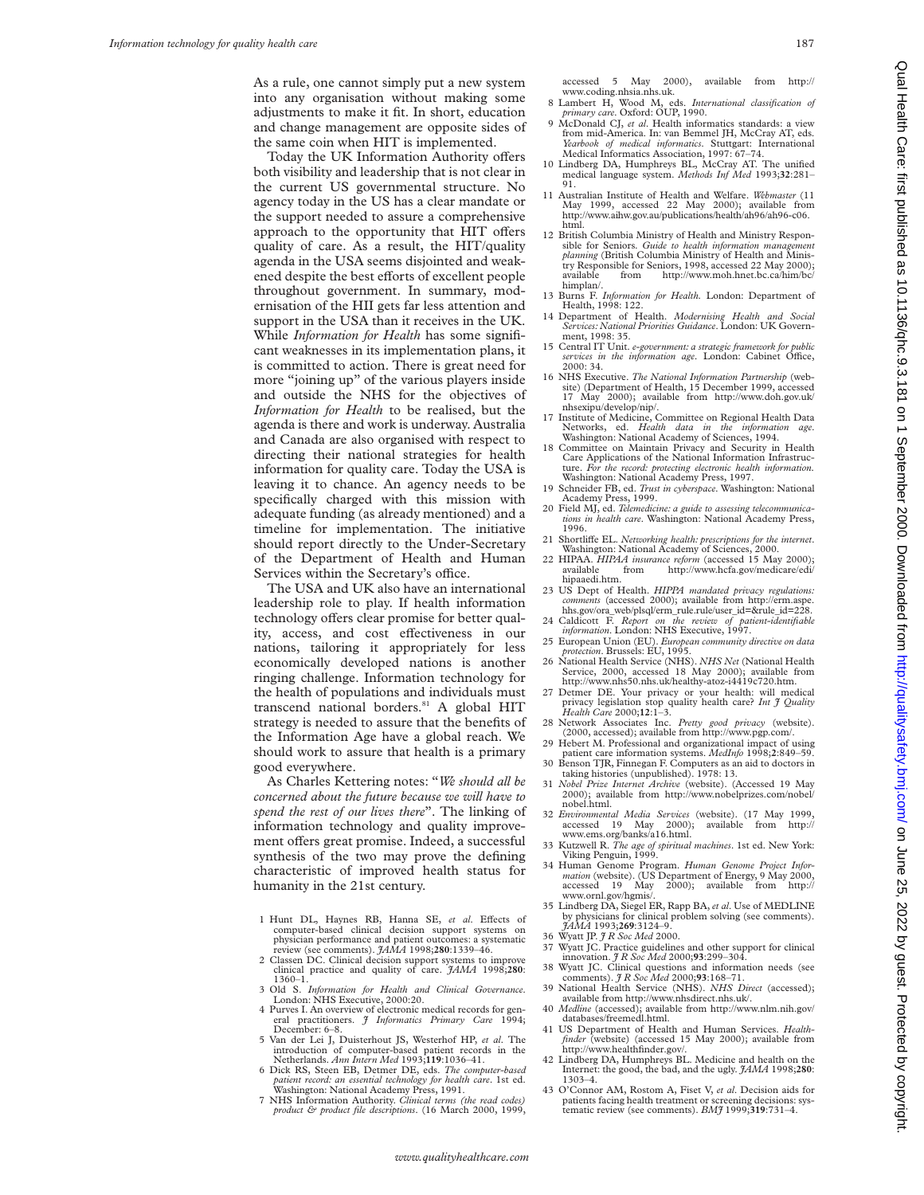As a rule, one cannot simply put a new system into any organisation without making some adjustments to make it fit. In short, education and change management are opposite sides of the same coin when HIT is implemented.

Today the UK Information Authority offers both visibility and leadership that is not clear in the current US governmental structure. No agency today in the US has a clear mandate or the support needed to assure a comprehensive approach to the opportunity that HIT offers quality of care. As a result, the HIT/quality agenda in the USA seems disjointed and weakened despite the best efforts of excellent people throughout government. In summary, modernisation of the HII gets far less attention and support in the USA than it receives in the UK. While *Information for Health* has some significant weaknesses in its implementation plans, it is committed to action. There is great need for more "joining up" of the various players inside and outside the NHS for the objectives of *Information for Health* to be realised, but the agenda is there and work is underway. Australia and Canada are also organised with respect to directing their national strategies for health information for quality care. Today the USA is leaving it to chance. An agency needs to be specifically charged with this mission with adequate funding (as already mentioned) and a timeline for implementation. The initiative should report directly to the Under-Secretary of the Department of Health and Human Services within the Secretary's office.

The USA and UK also have an international leadership role to play. If health information technology offers clear promise for better quality, access, and cost effectiveness in our nations, tailoring it appropriately for less economically developed nations is another ringing challenge. Information technology for the health of populations and individuals must transcend national borders.<sup>81</sup> A global HIT strategy is needed to assure that the benefits of the Information Age have a global reach. We should work to assure that health is a primary good everywhere.

As Charles Kettering notes: "*We should all be concerned about the future because we will have to spend the rest of our lives there*". The linking of information technology and quality improvement offers great promise. Indeed, a successful synthesis of the two may prove the defining characteristic of improved health status for humanity in the 21st century.

- 1 Hunt DL, Haynes RB, Hanna SE, et al. Effects of computer-based clinical decision support systems on physician performance and patient outcomes: a systematic review (see comments). *JAMA* 1998;**280**:1339–46.
- 2 Classen DC. Clinical decision support systems to improve clinical practice and quality of care. *JAMA* 1998;**280**: 1360–1.
- 3 Old S. *Information for Health and Clinical Governance*. London: NHS Executive, 2000:20.
- 4 Purves I. An overview of electronic medical records for general practitioners. *J Informatics Primary Care* 1994; December: 6–8.
- 5 Van der Lei J, Duisterhout JS, Westerhof HP, *et al*. The introduction of computer-based patient records in the Netherlands. *Ann Intern Med* 1993;**119**:1036–41.
- 6 Dick RS, Steen EB, Detmer DE, eds. *The computer-based patient record: an essential technology for health care*. 1st ed. Washington: National Academy Press, 1991.
- 7 NHS Information Authority. *Clinical terms (the read codes) product & product file descriptions*. (16 March 2000, 1999,

accessed 5 May 2000), available from http:// www.coding.nhsia.nhs.uk.

- 8 Lambert H, Wood M, eds. *International classification of primary care*. Oxford: OUP, 1990.
- 9 McDonald CJ, *et al*. Health informatics standards: a view from mid-America. In: van Bemmel JH, McCray AT, eds. *Yearbook of medical informatics*. Stuttgart: International Medical Informatics Association, 1997: 67–74. 10 Lindberg DA, Humphreys BL, McCray AT. The unified
- medical language system. *Methods Inf Med* 1993;**32**:281– 91.
- 11 Australian Institute of Health and Welfare. *Webmaster* (11 May 1999, accessed 22 May 2000); available from http://www.aihw.gov.au/publications/health/ah96/ah96-c06. html.
- 12 British Columbia Ministry of Health and Ministry Responsible for Seniors. *Guide to health information management planning* (British Columbia Ministry of Health and Ministry Responsible for Seniors, 1998, accessed 22 May 2000); http://www.moh.hnet.bc.ca/him/bc himplan/.
- 13 Burns F. *Information for Health.* London: Department of Health, 1998: 122.
- 14 Department of Health. *Modernising Health and Social Services: National Priorities Guidance*. London: UK Government, 1998: 35.
- 15 Central IT Unit. *e-government: a strategic framework for public* services in the information age. London: Cabinet Office, 2000: 34.
- 16 NHS Executive. *The National Information Partnership* (website) (Department of Health, 15 December 1999, accessed<br>17 May 2000); available from http://www.doh.gov.uk/ 2000); available from http://www.doh.gov.uk/ nhsexipu/develop/nip/.
- 17 Institute of Medicine, Committee on Regional Health Data Networks, ed. *Health data in the information age*. Washington: National Academy of Sciences, 1994.
- 18 Committee on Maintain Privacy and Security in Health Care Applications of the National Information Infrastructure. *For the record: protecting electronic health information.* Washington: National Academy Press, 1997.
- 19 Schneider FB, ed. *Trust in cyberspace*. Washington: National Academy Press, 1999.
- 20 Field MJ, ed. *Telemedicine: a guide to assessing telecommunica-tions in health care*. Washington: National Academy Press, 1996.
- 21 Shortliffe EL. *Networking health: prescriptions for the internet*.<br>Washington: National Academy of Sciences, 2000.
- 22 HIPAA. *HIPAA insurance reform* (accessed 15 May 2000); available from http://www.hcfa.gov/medicare/edi/ hipaaedi.htm.
- 23 US Dept of Health. *HIPPA mandated privacy regulations: comments* (accessed 2000); available from http://erm.aspe. hhs.gov/ora\_web/plsql/erm\_rule.rule/user\_id=&rule\_id=228.
- 24 Caldicott F. *Report on the review of patient-identifiable information*. London: NHS Executive, 1997.
- 25 European Union (EU). *European community directive on data protection*. Brussels: EU, 1995. 26 National Health Service (NHS). *NHS Net* (National Health
- Service, 2000, accessed 18 May 2000); available from http://www.nhs50.nhs.uk/healthy-atoz-i4419c720.htm.
- 27 Detmer DE. Your privacy or your health: will medical privacy legislation stop quality health care? *Int J Quality Health Care* 2000;**12**:1–3.
- 28 Network Associates Inc. *Pretty good privacy* (website). (2000, accessed); available from http://www.pgp.com/.
- 29 Hebert M. Professional and organizational impact of using patient care information systems. *MedInfo* 1998;**2**:849–59. 30 Benson TJR, Finnegan F. Computers as an aid to doctors in
- taking histories (unpublished). 1978: 13. 31 *Nobel Prize Internet Archive* (website). (Accessed 19 May 2000); available from http://www.nobelprizes.com/nobel/ nobel.html.
- 32 *Environmental Media Services* (website). (17 May 1999, accessed 19 May 2000); available from http:// www.ems.org/banks/a16.html.
- 33 Kutzwell R. *The age of spiritual machines*. 1st ed. New York: Viking Penguin, 1999.
- 34 Human Genome Program. *Human Genome Project Information* (website). (US Department of Energy, 9 May 2000, accessed 19 May 2000); available from http:// www.ornl.gov/hgmis/.
- 35 Lindberg DA, Siegel ER, Rapp BA, *et al*. Use of MEDLINE by physicians for clinical problem solving (see comments). *JAMA* 1993;**269**:3124–9.
- 36 Wyatt JP. *J R Soc Med* 2000.
- Wyatt JC. Practice guidelines and other support for clinical innovation. *J R Soc Med* 2000;**93**:299–304. Wyatt JC. Clinical questions and information needs (see
- comments). *J R Soc Med* 2000;**93**:168–71. 39 National Health Service (NHS). *NHS Direct* (accessed);
- available from http://www.nhsdirect.nhs.uk/. 40 *Medline* (accessed); available from http://www.nlm.nih.gov/
- databases/freemedl.html. 41 US Department of Health and Human Services. *Health-finder* (website) (accessed 15 May 2000); available from
- http://www.healthfinder.gov/. 42 Lindberg DA, Humphreys BL. Medicine and health on the Internet: the good, the bad, and the ugly. *JAMA* 1998;**280**: 1303–4.
- 43 O'Connor AM, Rostom A, Fiset V, *et al*. Decision aids for patients facing health treatment or screening decisions: systematic review (see comments). *BMJ* 1999;**319**:731–4.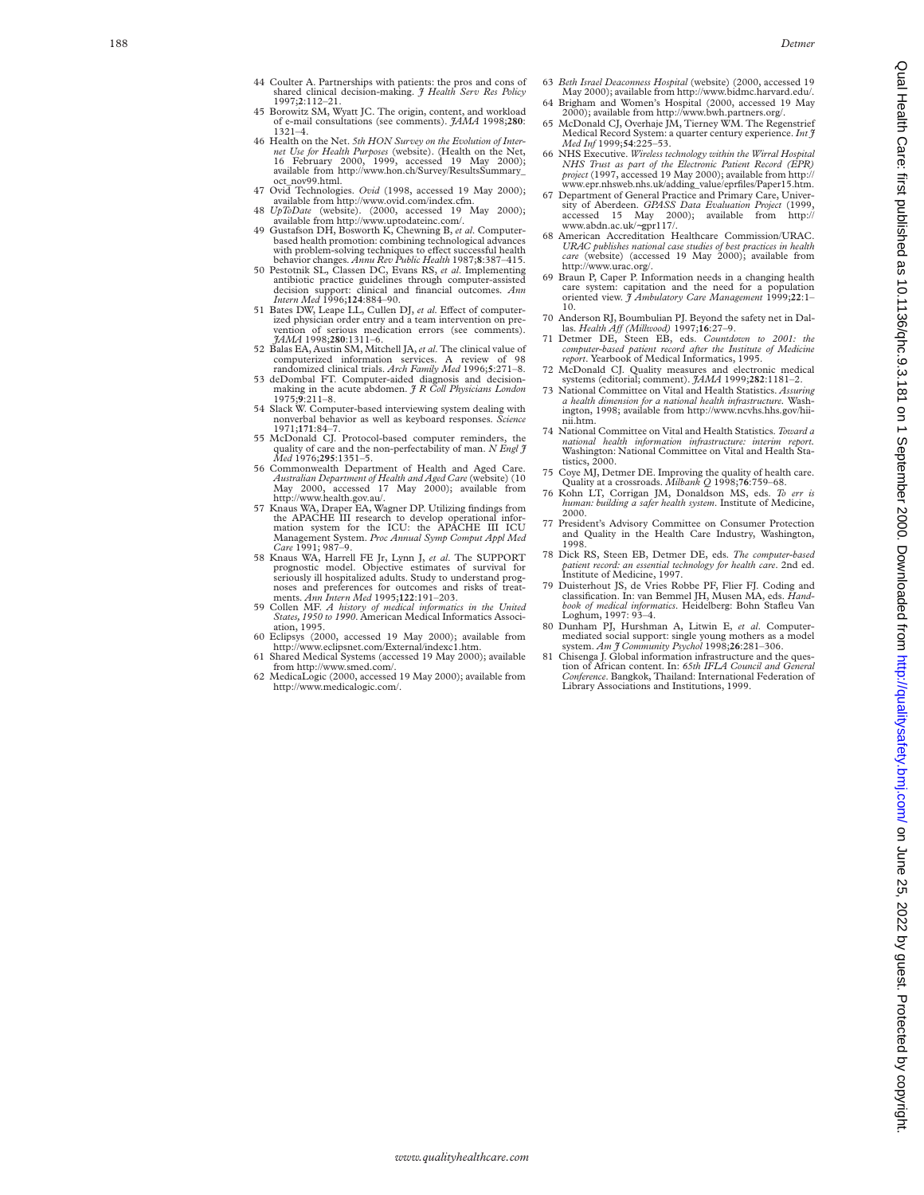- 44 Coulter A. Partnerships with patients: the pros and cons of shared clinical decision-making. *J Health Serv Res Policy* 1997;2:112-21.
- 45 Borowitz SM, Wyatt JC. The origin, content, and workload of e-mail consultations (see comments). *JAMA* 1998;**280** : 1321–4.
- 46 Health on the Net. *5th HON Survey on the Evolution of Internet Use for Health Purposes* (website). (Health on the Net, 16 February 2000, 1999, accessed 19 May 2000); available from http://www.hon.ch/Survey/ResultsSummary\_ oct\_nov99.html.
- 47 Ovid Technologies. *Ovid* (1998, accessed 19 May 2000);<br>available from http://www.ovid.com/index.cfm.
- 48 *UpToDate* (website). (2000, accessed 19 May 2000);
- available from http://www.uptodateinc.com/. 49 Gustafson DH, Bosworth K, Chewning B, *et al*. Computer-based health promotion: combining technological advances with problem-solving techniques to effect successful health<br>behavior changes. Annu Rev Public Health 1987;8:387-415.
- 50 Pestotnik SL, Classen DC, Evans RS, *et al*. Implementing antibiotic practice guidelines through computer-assisted decision support: clinical and financial outcomes. *Ann Intern Med* 1996;124:884–90.<br>51 Bates DW, Leape LL, Cullen DJ, *et al.* Effect of computer-
- ized physician order entry and a team intervention on pre-vention of serious medication errors (see comments). *JAMA* 1998;**280**:1311–6.
- 52 Balas EA, Austin SM, Mitchell JA,*et al*. The clinical value of computerized information services. A review of 98 randomized clinical trials. *Arch Family Med* 1996; **<sup>5</sup>**:271–8. 53 deDombal FT. Computer-aided diagnosis and decision-
- making in the acute abdomen. *J R Coll Physicians London* 1975; **9**:211–8.
- 54 Slack W. Computer-based interviewing system dealing with nonverbal behavior as well as keyboard responses. *Science* 1971;**171**:84–7.
- 55 McDonald CJ. Protocol-based computer reminders, the quality of care and the non-perfectability of man. *N Engl J*
- Med 1976;295:1351-5.<br>56 Commonwealth Department of Health and Aged Care.<br>Australian Department of Health and Aged Care (website) (10<br>May 2000), accessed 17 May 2000); available from<br>http://www.health.gov.au/.
- 57 Knaus WA, Draper EA, Wagner DP. Utilizing findings from the APACHE III research to develop operational information system for the ICU: the APACHE III ICU Management System. *Proc Annual Symp Comput Appl Med Care* 1991; 987–9.
- 58 Knaus WA, Harrell FE Jr, Lynn J, *et al*. The SUPPORT prognostic model. Objective estimates of survival for seriously ill hospitalized adults. Study to understand prognoses and preferences for outcomes and risks of treat-ments. *Ann Intern Med* 1995;**122**:191–203.
- 59 Collen MF. *A history of medical informatics in the United States, 1950 to 1990*. American Medical Informatics Association, 1995.
- 60 Eclipsys (2000, accessed 19 May 2000); available from http://www.eclipsnet.com/External/indexc1.htm. 61 Shared Medical Systems (accessed 19 May 2000); available
- from http://www.smed.com/.
- 62 MedicaLogic (2000, accessed 19 May 2000); available from http://www.medicalogic.com/.
- 63 *Beth Israel Deaconness Hospital* (website) (2000, accessed 19 May 2000); available from http://www.bidmc.harvard.edu/.
- 64 Brigham and Women's Hospital (2000, accessed 19 May
- 2000); available from http://www.bwh.partners.org/. 65 McDonald CJ, Overhaje JM, Tierney WM. The Regenstrief Medical Record System: a quarter century experience. *Int J Med Inf* 1999;**54**:225–53.
- 66 NHS Executive. *Wireless technology within the Wirral Hospital NHS Trust as part of the Electronic Patient Record (EPR) project* (1997, accessed 19 May 2000); available from http:// www.epr.nhsweb.nhs.uk/adding\_value/eprfiles/Paper15.htm.
- 67 Department of General Practice and Primary Care, Univer-sity of Aberdeen. *GPASS Data Evaluation Project* (1999, accessed 15 May 2000); available from http:// www.abdn.ac.uk/ ∼gpr117/.
- 68 American Accreditation Healthcare Commission/URAC. *URAC publishes national case studies of best practices in health care* (website) (accessed 19 May 2000); available from http://www.urac.org/.
- 69 Braun P, Caper P. Information needs in a changing health care system: capitation and the need for a population oriented view. *J Ambulatory Care Management* 1999;**22**:1– 10.
- 70 Anderson RJ, Boumbulian PJ. Beyond the safety net in Dallas. *Health AV (Millwood)* 1997;**16**:27–9. 71 Detmer DE, Steen EB, eds. *Countdown to 2001: the*
- *computer-based patient record after the Institute of Medicine report*. Yearbook of Medical Informatics, 1995.
- 72 McDonald CJ. Quality measures and electronic medical systems (editorial; comment). *JAMA* 1999;**282**:1181–2.
- 73 National Committee on Vital and Health Statistics. *Assuring a health dimension for a national health infrastructure.* Wash-ington, 1998; available from http://www.ncvhs.hhs.gov/hiinii.htm.
- 74 National Committee on Vital and Health Statistics. *Toward a national health information infrastructure: interim report.* Washington: National Committee on Vital and Health Statistics,
- 75 Coye MJ, Detmer DE. Improving the quality of health care. Quality at a crossroads. *Milbank Q* 1998;**76**:759–68.
- 76 Kohn LT, Corrigan JM, Donaldson MS, eds. *To human: building a safer health system*. Institute of Medicine, 2000.
- 77 President's Advisory Committee on Consumer Protection and Quality in the Health Care Industry, Washington, 1998.
- 78 Dick RS, Steen EB, Detmer DE, eds. *The computer-based patient record: an essential technology for health care*. 2nd ed. Institute of Medicine, 1997.
- 79 Duisterhout JS, de Vries Robbe PF, Flier FJ. Coding and classification. In: van Bemmel JH, Musen MA, eds. *Hand-book of medical informatics*. Heidelberg: Bohn Stafleu Van Loghum, 1997: 93–4. 80 Dunham PJ, Hurshman A, Litwin E, *et al*. Computer-
- mediated social support: single young mothers as a model system. *Am J Community Psychol* 1998;**26**:281–306.
- Chisenga J. Global information infrastructure and the question of African content. In: *65th IFLA Council and General Conference*. Bangkok, Thailand: International Federation of Library Associations and Institutions, 1999.

25, 2022 by guest. Protected by copyright